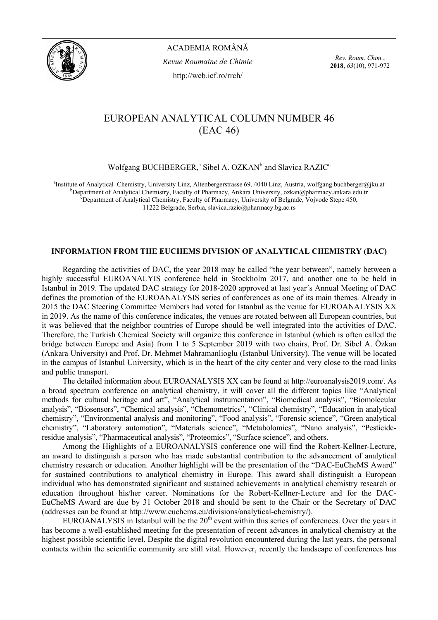

ACADEMIA ROMÂNĂ *Revue Roumaine de Chimie*  http://web.icf.ro/rrch/

*Rev. Roum. Chim.*, **2018**, *63*(10), 971-972

## EUROPEAN ANALYTICAL COLUMN NUMBER 46 (EAC 46)

Wolfgang BUCHBERGER,<sup>a</sup> Sibel A. OZKAN<sup>b</sup> and Slavica RAZIC<sup>c</sup>

<sup>a</sup>Institute of Analytical Chemistry, University Linz, Altenbergerstrasse 69, 4040 Linz, Austria, wolfgang.buchberger@jku.at b<br>beneating the analytical Chemistry, Feaulty of Pharmasy, Ankara University, exken@pharmasy enka  $b$ Department of Analytical Chemistry, Faculty of Pharmacy, Ankara University, ozkan $\omega$ pharmacy.ankara.edu.tr <sup>c</sup>Department of Analytical Chemistry, Faculty of Pharmacy, University of Belgrade, Vojvode Stepe 450, 11222 Belgrade, Serbia, slavica.razic@pharmacy.bg.ac.rs

## **INFORMATION FROM THE EUCHEMS DIVISION OF ANALYTICAL CHEMISTRY (DAC)**

Regarding the activities of DAC, the year 2018 may be called "the year between", namely between a highly successful EUROANALYIS conference held in Stockholm 2017, and another one to be held in Istanbul in 2019. The updated DAC strategy for 2018-2020 approved at last year´s Annual Meeting of DAC defines the promotion of the EUROANALYSIS series of conferences as one of its main themes. Already in 2015 the DAC Steering Committee Members had voted for Istanbul as the venue for EUROANALYSIS XX in 2019. As the name of this conference indicates, the venues are rotated between all European countries, but it was believed that the neighbor countries of Europe should be well integrated into the activities of DAC. Therefore, the Turkish Chemical Society will organize this conference in Istanbul (which is often called the bridge between Europe and Asia) from 1 to 5 September 2019 with two chairs, Prof. Dr. Sibel A. Özkan (Ankara University) and Prof. Dr. Mehmet Mahramanlioglu (Istanbul University). The venue will be located in the campus of Istanbul University, which is in the heart of the city center and very close to the road links and public transport.

The detailed information about EUROANALYSIS XX can be found at http://euroanalysis2019.com/. As a broad spectrum conference on analytical chemistry, it will cover all the different topics like "Analytical methods for cultural heritage and art", "Analytical instrumentation", "Biomedical analysis", "Biomolecular analysis", "Biosensors", "Chemical analysis", "Chemometrics", "Clinical chemistry", "Education in analytical chemistry", "Environmental analysis and monitoring", "Food analysis", "Forensic science", "Green analytical chemistry", "Laboratory automation", "Materials science", "Metabolomics", "Nano analysis", "Pesticideresidue analysis", "Pharmaceutical analysis", "Proteomics", "Surface science", and others.

Among the Highlights of a EUROANALYSIS conference one will find the Robert-Kellner-Lecture, an award to distinguish a person who has made substantial contribution to the advancement of analytical chemistry research or education. Another highlight will be the presentation of the "DAC-EuCheMS Award" for sustained contributions to analytical chemistry in Europe. This award shall distinguish a European individual who has demonstrated significant and sustained achievements in analytical chemistry research or education throughout his/her career. Nominations for the Robert-Kellner-Lecture and for the DAC-EuCheMS Award are due by 31 October 2018 and should be sent to the Chair or the Secretary of DAC (addresses can be found at http://www.euchems.eu/divisions/analytical-chemistry/).

EUROANALYSIS in Istanbul will be the  $20<sup>th</sup>$  event within this series of conferences. Over the years it has become a well-established meeting for the presentation of recent advances in analytical chemistry at the highest possible scientific level. Despite the digital revolution encountered during the last years, the personal contacts within the scientific community are still vital. However, recently the landscape of conferences has